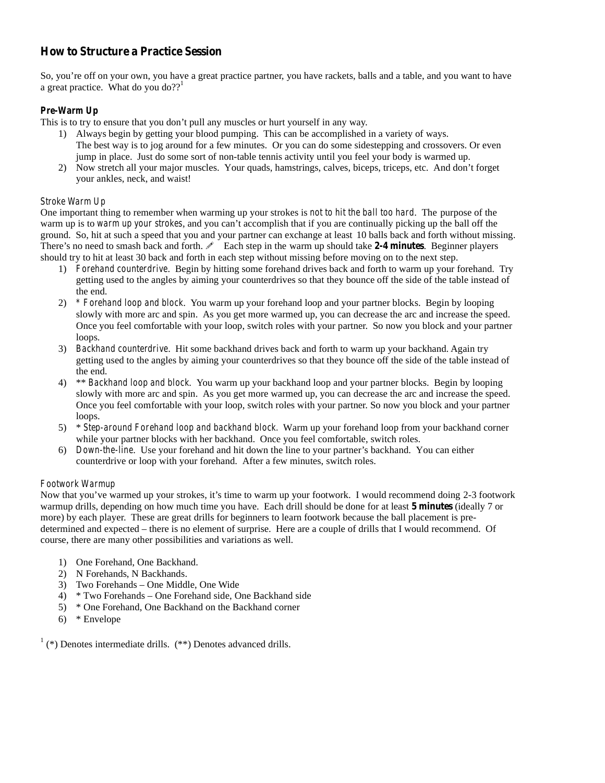# **How to Structure a Practice Session**

So, you're off on your own, you have a great practice partner, you have rackets, balls and a table, and you want to have a great practice. What do you do?? $1$ 

## *Pre-Warm Up*

This is to try to ensure that you don't pull any muscles or hurt yourself in any way.

- 1) Always begin by getting your blood pumping. This can be accomplished in a variety of ways. The best way is to jog around for a few minutes. Or you can do some sidestepping and crossovers. Or even jump in place. Just do some sort of non-table tennis activity until you feel your body is warmed up.
- 2) Now stretch all your major muscles. Your quads, hamstrings, calves, biceps, triceps, etc. And don't forget your ankles, neck, and waist!

### *Stroke Warm Up*

One important thing to remember when warming up your strokes is *not to hit the ball too hard*. The purpose of the warm up is to *warm up your strokes*, and you can't accomplish that if you are continually picking up the ball off the ground. So, hit at such a speed that you and your partner can exchange at least 10 balls back and forth without missing. There's no need to smash back and forth.  $\ell$  Each step in the warm up should take 2-4 minutes. Beginner players should try to hit at least 30 back and forth in each step without missing before moving on to the next step.

- 1) *Forehand counterdrive*. Begin by hitting some forehand drives back and forth to warm up your forehand. Try getting used to the angles by aiming your counterdrives so that they bounce off the side of the table instead of the end.
- 2) *\* Forehand loop and block*. You warm up your forehand loop and your partner blocks. Begin by looping slowly with more arc and spin. As you get more warmed up, you can decrease the arc and increase the speed. Once you feel comfortable with your loop, switch roles with your partner. So now you block and your partner loops.
- 3) *Backhand counterdrive*. Hit some backhand drives back and forth to warm up your backhand. Again try getting used to the angles by aiming your counterdrives so that they bounce off the side of the table instead of the end.
- 4) \*\* *Backhand loop and block*. You warm up your backhand loop and your partner blocks. Begin by looping slowly with more arc and spin. As you get more warmed up, you can decrease the arc and increase the speed. Once you feel comfortable with your loop, switch roles with your partner. So now you block and your partner loops.
- 5) \* *Step-around Forehand loop and backhand block.* Warm up your forehand loop from your backhand corner while your partner blocks with her backhand. Once you feel comfortable, switch roles.
- 6) *Down-the-line*. Use your forehand and hit down the line to your partner's backhand. You can either counterdrive or loop with your forehand. After a few minutes, switch roles.

#### *Footwork Warmup*

Now that you've warmed up your strokes, it's time to warm up your footwork. I would recommend doing 2-3 footwork warmup drills, depending on how much time you have. Each drill should be done for at least **5 minutes** (ideally 7 or more) by each player. These are great drills for beginners to learn footwork because the ball placement is pre determined and expected – there is no element of surprise. Here are a couple of drills that I would recommend. Of course, there are many other possibilities and variations as well.

- 1) One Forehand, One Backhand.
- 2) N Forehands, N Backhands.
- 3) Two Forehands One Middle, One Wide
- 4) \* Two Forehands One Forehand side, One Backhand side
- 5) \* One Forehand, One Backhand on the Backhand corner
- 6) \* Envelope

 $1$  (\*) Denotes intermediate drills. (\*\*) Denotes advanced drills.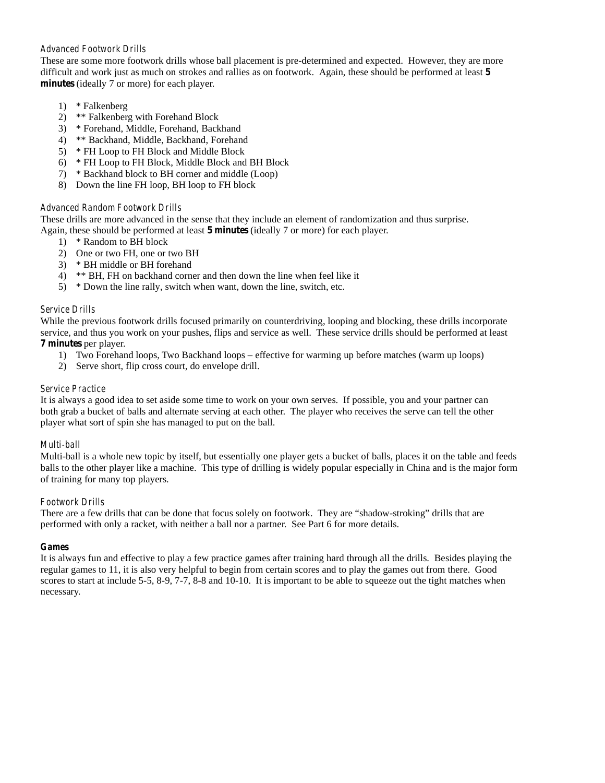### *Advanced Footwork Drills*

These are some more footwork drills whose ball placement is pre-determined and expected. However, they are more difficult and work justas much on strokes and rallies as on footwork. Again, these should be performed at least **5 minutes** (ideally 7 or more) for each player.

- 1) \* Falkenberg
- 2) \*\* Falkenberg with Forehand Block
- 3) \* Forehand, Middle, Forehand, Backhand
- 4) \*\* Backhand, Middle, Backhand, Forehand
- 5) \* FH Loop to FH Block and Middle Block
- 6) \* FH Loop to FH Block, Middle Block and BH Block
- 7) \* Backhand block to BH corner and middle (Loop)
- 8) Down the line FH loop, BH loop to FH block

### *Advanced Random Footwork Drills*

These drills are more advanced in the sense that they include an element of randomization and thus surprise. Again, these should be performed at least **5 minutes** (ideally 7 or more) for each player.

- 1) \* Random to BH block
- 2) One or two FH, one or two BH
- 3) \* BH middle or BH forehand
- 4) \*\* BH,FH on backhand corner and then down the line when feel like it
- 5) \* Down the line rally, switch when want, down the line, switch, etc.

### *Service Drills*

While the previous footwork drills focused primarily on counterdriving, looping and blocking, these drills incorporate service, and thus you work on your pushes, flips and service as well. These service drills should be performed at least **7 minutes** per player.

- 1) Two Forehand loops, Two Backhand loops effective for warming up before matches (warm up loops)
- 2) Serve short, flip cross court, do envelope drill.

#### *Service Practice*

It is always a good idea to set aside some time to work on your own serves. If possible, you and your partner can both grab a bucket of balls and alternate serving at each other. The player who receives the serve can tell the other player what sort of spin she has managed to put on the ball.

#### *Multi-ball*

Multi-ball is a whole new topic by itself, but essentially one player gets a bucket of balls, places iton the table and feeds balls to the other player like a machine. This type of drilling is widely popular especially in China and is the major form of training for many top players.

#### *Footwork Drills*

There are a few drills that can be done that focus solely on footwork. They are "shadow-stroking" drills that are performed with only a racket, with neither a ball nor a partner. See Part 6 for more details.

#### *Games*

It is always fun and effective to play a few practice games after training hard through all the drills. Besides playing the regular games to 11, it is also very helpful to begin from certain scores and to play the games out from there. Good scores to start at include 5-5, 8-9, 7-7, 8-8 and 10-10. It is important to be able to squeeze out the tight matches when necessary.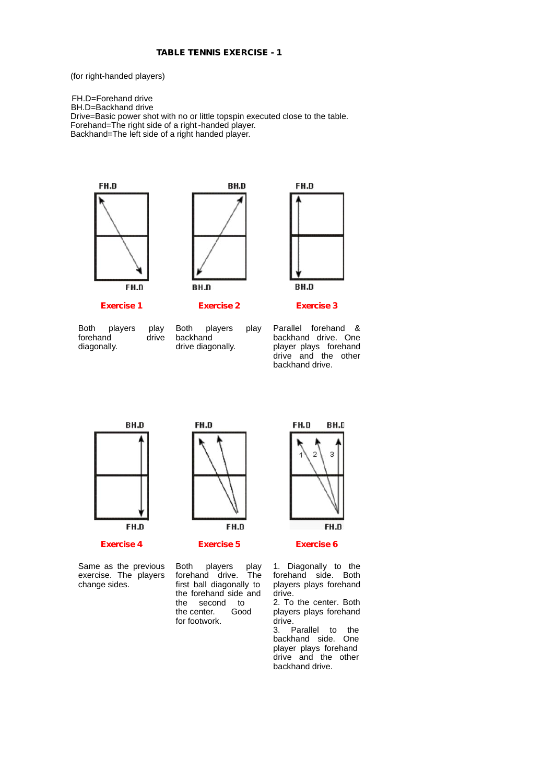(for right-handed players)

FH.D=Forehand drive BH.D=Backhand drive Drive=Basic power shot with no or little topspin executed close to the table. Forehand=The right side of a right-handed player. Backhand=The left side of a right handed player.





Both players play Both<br>forehand drive back forehand drive backhand<br>
diagonally. drive diagonally. diagonally. Both players play



**BH.D** 

backhand

FH.D



FH.D

Both players play Parallel forehand &<br>backhand backhand drive. One<br>drive diagonally. player plays forehand backhand drive. One drive and the other backhand drive.



**Exercise 4**

Same as the previous exercise. The players change sides. forehand drive. first ball diagonally to

FH.D

**Exercise 5**

the second to<br>the center. Good

the center. for footwork.



**Exercise 6**

players play<br>d drive. The the forehand side and 1. Diagonally to the forehand side. Both players plays forehand drive. 2. To the center. Both

players plays forehand drive.<br>3. F

Parallel to the backhand side. One player plays forehand drive and the other backhand drive.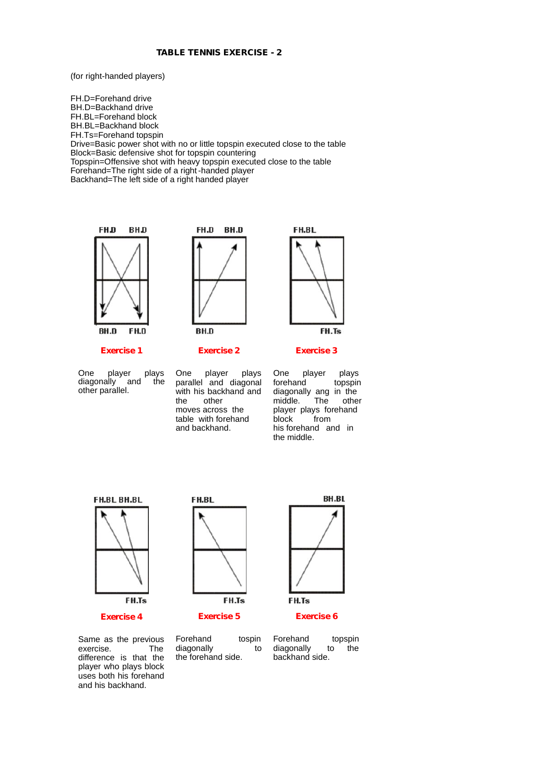#### **TABLE TENNIS EXERCISE - 2**

(for right-handed players)

FH.D=Forehand drive BH.D=Backhand drive FH.BL=Forehand block BH.BL=Backhand block FH.Ts=Forehand topspin Drive=Basic power shot with no or little topspin executed close to the table Block=Basic defensive shot for topspin countering Topspin=Offensive shot with heavy topspin executed close to the table Forehand=The right side of a right-handed player Backhand=The left side of a right handed player





**Exercise 2**

One player plays One<br>diagonally and the para diagonally and the other parallel.

**Exercise 1**

player plays One parallel and diagonal with his backhand and<br>the other other moves across the table with forehand and backhand.

FH.BL FH.Ts

#### **Exercise 3**

player plays<br>nd topspin forehand diagonally ang in the<br>middle. The other middle. player plays forehand block from his forehand and in the middle.



**Exercise 4**

FH.Ts **Exercise 5**

FH.BL



**Exercise 6**

Same as the previous<br>exercise. The exercise. difference is that the player who plays block uses both his forehand and his backhand.

Forehand tospin diagonally to the forehand side.

Forehand topspin<br>diagonally to the diagonally backhand side.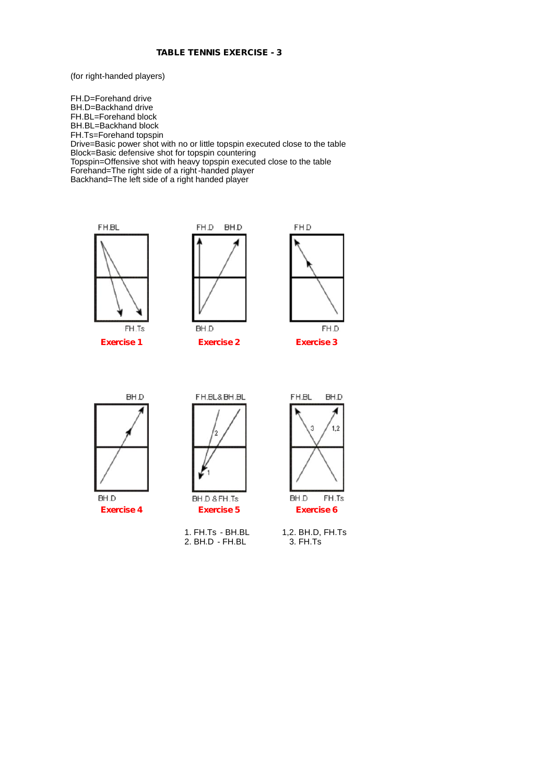#### **TABLE TENNIS EXERCISE - 3**

(for right-handed players)

FH.D=Forehand drive BH.D=Backhand drive FH.BL=Forehand block BH.BL=Backhand block FH.Ts=Forehand topspin Drive=Basic power shot with no or little topspin executed close to the table Block=Basic defensive shot for topspin countering Topspin=Offensive shot with heavy topspin executed close to the table Forehand=The right side of a right-handed player Backhand=The left side of a right handed player



**Exercise 1**



**Exercise 2**







BH.D **Exercise 4**



**Exercise 5**

1. FH.Ts - BH.BL 2. BH.D - FH.BL



1,2. BH.D, FH.Ts 3. FH.Ts